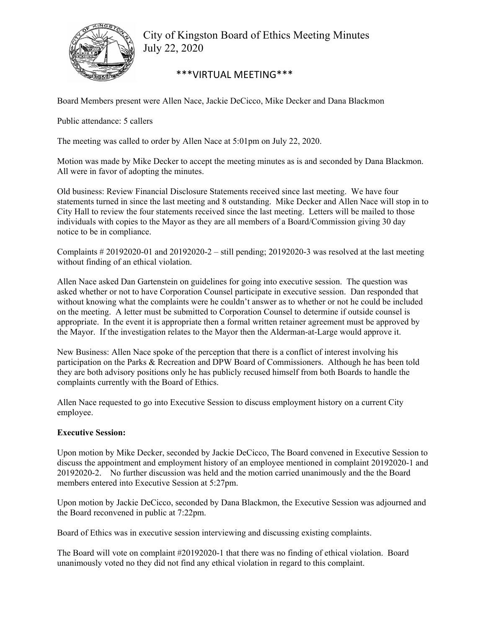

City of Kingston Board of Ethics Meeting Minutes July 22, 2020

## \*\*\*VIRTUAL MEETING\*\*\*

Board Members present were Allen Nace, Jackie DeCicco, Mike Decker and Dana Blackmon

Public attendance: 5 callers

The meeting was called to order by Allen Nace at 5:01pm on July 22, 2020.

Motion was made by Mike Decker to accept the meeting minutes as is and seconded by Dana Blackmon. All were in favor of adopting the minutes.

Old business: Review Financial Disclosure Statements received since last meeting. We have four statements turned in since the last meeting and 8 outstanding. Mike Decker and Allen Nace will stop in to City Hall to review the four statements received since the last meeting. Letters will be mailed to those individuals with copies to the Mayor as they are all members of a Board/Commission giving 30 day notice to be in compliance.

Complaints  $\# 20192020-01$  and  $20192020-2$  – still pending; 20192020-3 was resolved at the last meeting without finding of an ethical violation.

Allen Nace asked Dan Gartenstein on guidelines for going into executive session. The question was asked whether or not to have Corporation Counsel participate in executive session. Dan responded that without knowing what the complaints were he couldn't answer as to whether or not he could be included on the meeting. A letter must be submitted to Corporation Counsel to determine if outside counsel is appropriate. In the event it is appropriate then a formal written retainer agreement must be approved by the Mayor. If the investigation relates to the Mayor then the Alderman-at-Large would approve it.

New Business: Allen Nace spoke of the perception that there is a conflict of interest involving his participation on the Parks & Recreation and DPW Board of Commissioners. Although he has been told they are both advisory positions only he has publicly recused himself from both Boards to handle the complaints currently with the Board of Ethics.

Allen Nace requested to go into Executive Session to discuss employment history on a current City employee.

## **Executive Session:**

Upon motion by Mike Decker, seconded by Jackie DeCicco, The Board convened in Executive Session to discuss the appointment and employment history of an employee mentioned in complaint 20192020-1 and 20192020-2. No further discussion was held and the motion carried unanimously and the the Board members entered into Executive Session at 5:27pm.

Upon motion by Jackie DeCicco, seconded by Dana Blackmon, the Executive Session was adjourned and the Board reconvened in public at 7:22pm.

Board of Ethics was in executive session interviewing and discussing existing complaints.

The Board will vote on complaint #20192020-1 that there was no finding of ethical violation. Board unanimously voted no they did not find any ethical violation in regard to this complaint.